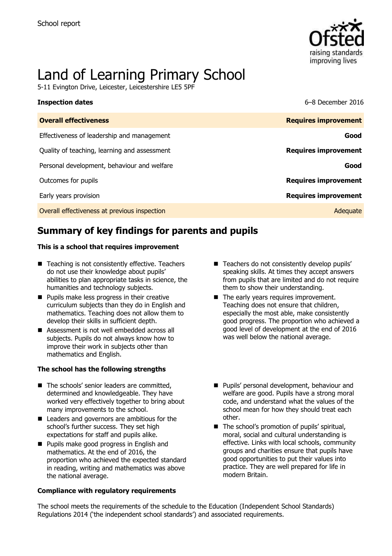

# Land of Learning Primary School

5-11 Evington Drive, Leicester, Leicestershire LE5 5PF

| <b>Inspection dates</b>                      | 6–8 December 2016           |
|----------------------------------------------|-----------------------------|
| <b>Overall effectiveness</b>                 | <b>Requires improvement</b> |
| Effectiveness of leadership and management   | Good                        |
| Quality of teaching, learning and assessment | <b>Requires improvement</b> |
| Personal development, behaviour and welfare  | Good                        |
| Outcomes for pupils                          | <b>Requires improvement</b> |
| Early years provision                        | <b>Requires improvement</b> |
| Overall effectiveness at previous inspection | Adequate                    |

# **Summary of key findings for parents and pupils**

#### **This is a school that requires improvement**

- Teaching is not consistently effective. Teachers do not use their knowledge about pupils' abilities to plan appropriate tasks in science, the humanities and technology subjects.
- **Pupils make less progress in their creative** curriculum subjects than they do in English and mathematics. Teaching does not allow them to develop their skills in sufficient depth.
- Assessment is not well embedded across all subjects. Pupils do not always know how to improve their work in subjects other than mathematics and English.

#### **The school has the following strengths**

- The schools' senior leaders are committed, determined and knowledgeable. They have worked very effectively together to bring about many improvements to the school.
- Leaders and governors are ambitious for the school's further success. They set high expectations for staff and pupils alike.
- **Pupils make good progress in English and** mathematics. At the end of 2016, the proportion who achieved the expected standard in reading, writing and mathematics was above the national average.

#### **Compliance with regulatory requirements**

- Teachers do not consistently develop pupils' speaking skills. At times they accept answers from pupils that are limited and do not require them to show their understanding.
- The early years requires improvement. Teaching does not ensure that children, especially the most able, make consistently good progress. The proportion who achieved a good level of development at the end of 2016 was well below the national average.
- **Pupils' personal development, behaviour and** welfare are good. Pupils have a strong moral code, and understand what the values of the school mean for how they should treat each other.
- The school's promotion of pupils' spiritual, moral, social and cultural understanding is effective. Links with local schools, community groups and charities ensure that pupils have good opportunities to put their values into practice. They are well prepared for life in modern Britain.

The school meets the requirements of the schedule to the Education (Independent School Standards) Regulations 2014 ('the independent school standards') and associated requirements.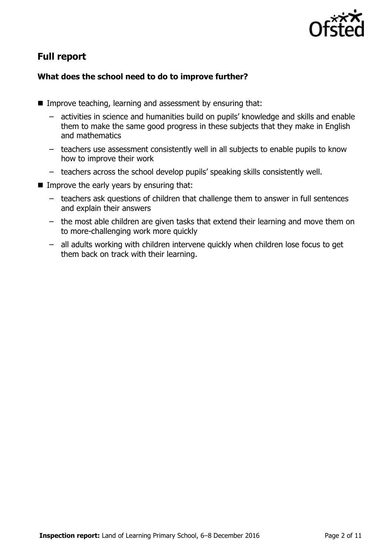

# **Full report**

### **What does the school need to do to improve further?**

- Improve teaching, learning and assessment by ensuring that:
	- activities in science and humanities build on pupils' knowledge and skills and enable them to make the same good progress in these subjects that they make in English and mathematics
	- teachers use assessment consistently well in all subjects to enable pupils to know how to improve their work
	- teachers across the school develop pupils' speaking skills consistently well.
- $\blacksquare$  Improve the early years by ensuring that:
	- teachers ask questions of children that challenge them to answer in full sentences and explain their answers
	- the most able children are given tasks that extend their learning and move them on to more-challenging work more quickly
	- all adults working with children intervene quickly when children lose focus to get them back on track with their learning.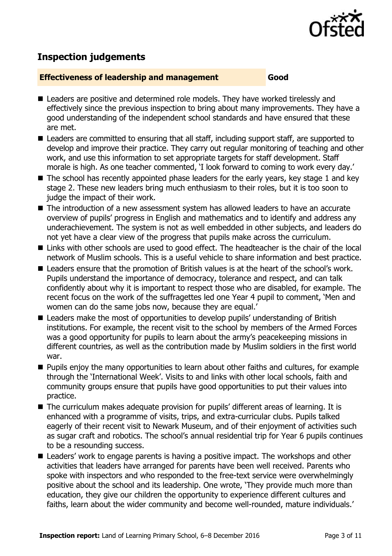

# **Inspection judgements**

#### **Effectiveness of leadership and management Good**

- Leaders are positive and determined role models. They have worked tirelessly and effectively since the previous inspection to bring about many improvements. They have a good understanding of the independent school standards and have ensured that these are met.
- Leaders are committed to ensuring that all staff, including support staff, are supported to develop and improve their practice. They carry out regular monitoring of teaching and other work, and use this information to set appropriate targets for staff development. Staff morale is high. As one teacher commented, 'I look forward to coming to work every day.'
- $\blacksquare$  The school has recently appointed phase leaders for the early years, key stage 1 and key stage 2. These new leaders bring much enthusiasm to their roles, but it is too soon to judge the impact of their work.
- The introduction of a new assessment system has allowed leaders to have an accurate overview of pupils' progress in English and mathematics and to identify and address any underachievement. The system is not as well embedded in other subjects, and leaders do not yet have a clear view of the progress that pupils make across the curriculum.
- Links with other schools are used to good effect. The headteacher is the chair of the local network of Muslim schools. This is a useful vehicle to share information and best practice.
- Leaders ensure that the promotion of British values is at the heart of the school's work. Pupils understand the importance of democracy, tolerance and respect, and can talk confidently about why it is important to respect those who are disabled, for example. The recent focus on the work of the suffragettes led one Year 4 pupil to comment, 'Men and women can do the same jobs now, because they are equal.'
- Leaders make the most of opportunities to develop pupils' understanding of British institutions. For example, the recent visit to the school by members of the Armed Forces was a good opportunity for pupils to learn about the army's peacekeeping missions in different countries, as well as the contribution made by Muslim soldiers in the first world war.
- **Pupils enjoy the many opportunities to learn about other faiths and cultures, for example** through the 'International Week'. Visits to and links with other local schools, faith and community groups ensure that pupils have good opportunities to put their values into practice.
- The curriculum makes adequate provision for pupils' different areas of learning. It is enhanced with a programme of visits, trips, and extra-curricular clubs. Pupils talked eagerly of their recent visit to Newark Museum, and of their enjoyment of activities such as sugar craft and robotics. The school's annual residential trip for Year 6 pupils continues to be a resounding success.
- Leaders' work to engage parents is having a positive impact. The workshops and other activities that leaders have arranged for parents have been well received. Parents who spoke with inspectors and who responded to the free-text service were overwhelmingly positive about the school and its leadership. One wrote, 'They provide much more than education, they give our children the opportunity to experience different cultures and faiths, learn about the wider community and become well-rounded, mature individuals.'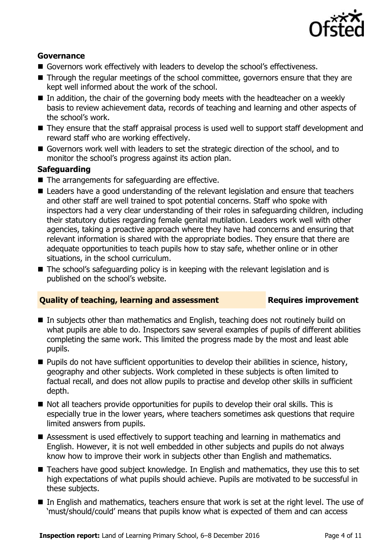

#### **Governance**

- Governors work effectively with leaders to develop the school's effectiveness.
- Through the regular meetings of the school committee, governors ensure that they are kept well informed about the work of the school.
- $\blacksquare$  In addition, the chair of the governing body meets with the headteacher on a weekly basis to review achievement data, records of teaching and learning and other aspects of the school's work.
- They ensure that the staff appraisal process is used well to support staff development and reward staff who are working effectively.
- Governors work well with leaders to set the strategic direction of the school, and to monitor the school's progress against its action plan.

#### **Safeguarding**

- $\blacksquare$  The arrangements for safeguarding are effective.
- Leaders have a good understanding of the relevant legislation and ensure that teachers and other staff are well trained to spot potential concerns. Staff who spoke with inspectors had a very clear understanding of their roles in safeguarding children, including their statutory duties regarding female genital mutilation. Leaders work well with other agencies, taking a proactive approach where they have had concerns and ensuring that relevant information is shared with the appropriate bodies. They ensure that there are adequate opportunities to teach pupils how to stay safe, whether online or in other situations, in the school curriculum.
- The school's safeguarding policy is in keeping with the relevant legislation and is published on the school's website.

#### **Quality of teaching, learning and assessment Fig. 2.1 Requires improvement**

- In subjects other than mathematics and English, teaching does not routinely build on what pupils are able to do. Inspectors saw several examples of pupils of different abilities completing the same work. This limited the progress made by the most and least able pupils.
- **Pupils do not have sufficient opportunities to develop their abilities in science, history,** geography and other subjects. Work completed in these subjects is often limited to factual recall, and does not allow pupils to practise and develop other skills in sufficient depth.
- Not all teachers provide opportunities for pupils to develop their oral skills. This is especially true in the lower years, where teachers sometimes ask questions that require limited answers from pupils.
- Assessment is used effectively to support teaching and learning in mathematics and English. However, it is not well embedded in other subjects and pupils do not always know how to improve their work in subjects other than English and mathematics.
- Teachers have good subject knowledge. In English and mathematics, they use this to set high expectations of what pupils should achieve. Pupils are motivated to be successful in these subjects.
- In English and mathematics, teachers ensure that work is set at the right level. The use of 'must/should/could' means that pupils know what is expected of them and can access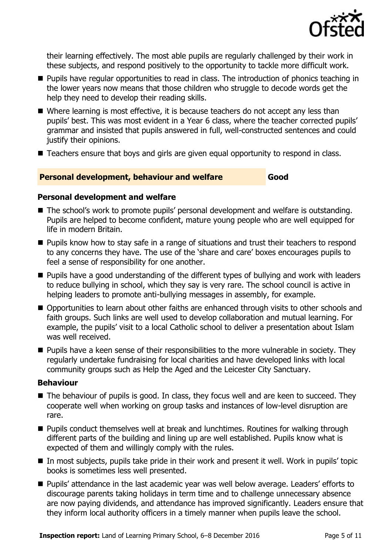

their learning effectively. The most able pupils are regularly challenged by their work in these subjects, and respond positively to the opportunity to tackle more difficult work.

- **Pupils have regular opportunities to read in class. The introduction of phonics teaching in** the lower years now means that those children who struggle to decode words get the help they need to develop their reading skills.
- Where learning is most effective, it is because teachers do not accept any less than pupils' best. This was most evident in a Year 6 class, where the teacher corrected pupils' grammar and insisted that pupils answered in full, well-constructed sentences and could justify their opinions.
- Teachers ensure that boys and girls are given equal opportunity to respond in class.

### **Personal development, behaviour and welfare Good**

#### **Personal development and welfare**

- The school's work to promote pupils' personal development and welfare is outstanding. Pupils are helped to become confident, mature young people who are well equipped for life in modern Britain.
- **Pupils know how to stay safe in a range of situations and trust their teachers to respond** to any concerns they have. The use of the 'share and care' boxes encourages pupils to feel a sense of responsibility for one another.
- **Pupils have a good understanding of the different types of bullying and work with leaders** to reduce bullying in school, which they say is very rare. The school council is active in helping leaders to promote anti-bullying messages in assembly, for example.
- Opportunities to learn about other faiths are enhanced through visits to other schools and faith groups. Such links are well used to develop collaboration and mutual learning. For example, the pupils' visit to a local Catholic school to deliver a presentation about Islam was well received.
- **Pupils have a keen sense of their responsibilities to the more vulnerable in society. They** regularly undertake fundraising for local charities and have developed links with local community groups such as Help the Aged and the Leicester City Sanctuary.

#### **Behaviour**

- The behaviour of pupils is good. In class, they focus well and are keen to succeed. They cooperate well when working on group tasks and instances of low-level disruption are rare.
- **Pupils conduct themselves well at break and lunchtimes. Routines for walking through** different parts of the building and lining up are well established. Pupils know what is expected of them and willingly comply with the rules.
- In most subjects, pupils take pride in their work and present it well. Work in pupils' topic books is sometimes less well presented.
- **Pupils'** attendance in the last academic year was well below average. Leaders' efforts to discourage parents taking holidays in term time and to challenge unnecessary absence are now paying dividends, and attendance has improved significantly. Leaders ensure that they inform local authority officers in a timely manner when pupils leave the school.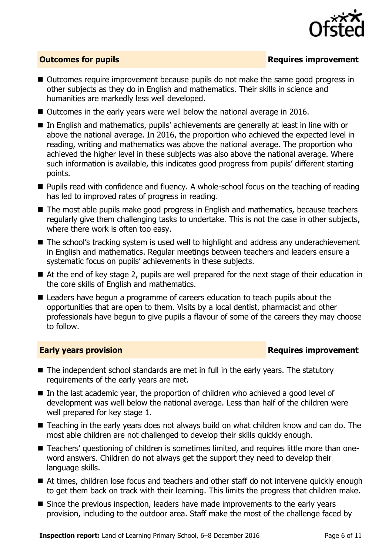

### **Outcomes for pupils Requires improvement**

- Outcomes require improvement because pupils do not make the same good progress in other subjects as they do in English and mathematics. Their skills in science and humanities are markedly less well developed.
- Outcomes in the early years were well below the national average in 2016.
- In English and mathematics, pupils' achievements are generally at least in line with or above the national average. In 2016, the proportion who achieved the expected level in reading, writing and mathematics was above the national average. The proportion who achieved the higher level in these subjects was also above the national average. Where such information is available, this indicates good progress from pupils' different starting points.
- **Pupils read with confidence and fluency. A whole-school focus on the teaching of reading** has led to improved rates of progress in reading.
- The most able pupils make good progress in English and mathematics, because teachers regularly give them challenging tasks to undertake. This is not the case in other subjects, where there work is often too easy.
- The school's tracking system is used well to highlight and address any underachievement in English and mathematics. Regular meetings between teachers and leaders ensure a systematic focus on pupils' achievements in these subjects.
- At the end of key stage 2, pupils are well prepared for the next stage of their education in the core skills of English and mathematics.
- Leaders have begun a programme of careers education to teach pupils about the opportunities that are open to them. Visits by a local dentist, pharmacist and other professionals have begun to give pupils a flavour of some of the careers they may choose to follow.

#### **Early years provision Requires improvement**

- The independent school standards are met in full in the early years. The statutory requirements of the early years are met.
- In the last academic year, the proportion of children who achieved a good level of development was well below the national average. Less than half of the children were well prepared for key stage 1.
- Teaching in the early years does not always build on what children know and can do. The most able children are not challenged to develop their skills quickly enough.
- Teachers' questioning of children is sometimes limited, and requires little more than oneword answers. Children do not always get the support they need to develop their language skills.
- At times, children lose focus and teachers and other staff do not intervene quickly enough to get them back on track with their learning. This limits the progress that children make.
- Since the previous inspection, leaders have made improvements to the early years provision, including to the outdoor area. Staff make the most of the challenge faced by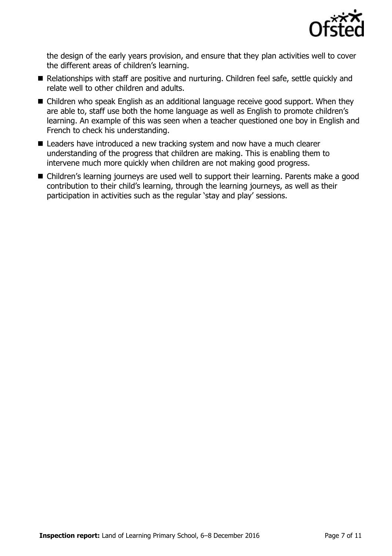

the design of the early years provision, and ensure that they plan activities well to cover the different areas of children's learning.

- Relationships with staff are positive and nurturing. Children feel safe, settle quickly and relate well to other children and adults.
- Children who speak English as an additional language receive good support. When they are able to, staff use both the home language as well as English to promote children's learning. An example of this was seen when a teacher questioned one boy in English and French to check his understanding.
- Leaders have introduced a new tracking system and now have a much clearer understanding of the progress that children are making. This is enabling them to intervene much more quickly when children are not making good progress.
- Children's learning journeys are used well to support their learning. Parents make a good contribution to their child's learning, through the learning journeys, as well as their participation in activities such as the regular 'stay and play' sessions.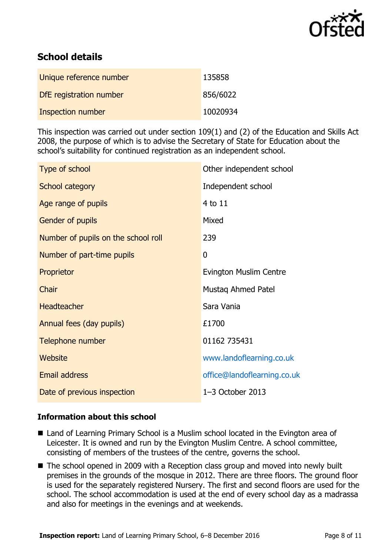

# **School details**

| Unique reference number  | 135858   |
|--------------------------|----------|
| DfE registration number  | 856/6022 |
| <b>Inspection number</b> | 10020934 |

This inspection was carried out under section 109(1) and (2) of the Education and Skills Act 2008, the purpose of which is to advise the Secretary of State for Education about the school's suitability for continued registration as an independent school.

| Type of school                      | Other independent school    |
|-------------------------------------|-----------------------------|
| School category                     | Independent school          |
| Age range of pupils                 | 4 to 11                     |
| Gender of pupils                    | Mixed                       |
| Number of pupils on the school roll | 239                         |
| Number of part-time pupils          | 0                           |
| Proprietor                          | Evington Muslim Centre      |
| Chair                               | Mustaq Ahmed Patel          |
| <b>Headteacher</b>                  | Sara Vania                  |
| Annual fees (day pupils)            | £1700                       |
| Telephone number                    | 01162 735431                |
| <b>Website</b>                      | www.landoflearning.co.uk    |
| <b>Email address</b>                | office@landoflearning.co.uk |
| Date of previous inspection         | $1-3$ October 2013          |

#### **Information about this school**

- Land of Learning Primary School is a Muslim school located in the Evington area of Leicester. It is owned and run by the Evington Muslim Centre. A school committee, consisting of members of the trustees of the centre, governs the school.
- The school opened in 2009 with a Reception class group and moved into newly built premises in the grounds of the mosque in 2012. There are three floors. The ground floor is used for the separately registered Nursery. The first and second floors are used for the school. The school accommodation is used at the end of every school day as a madrassa and also for meetings in the evenings and at weekends.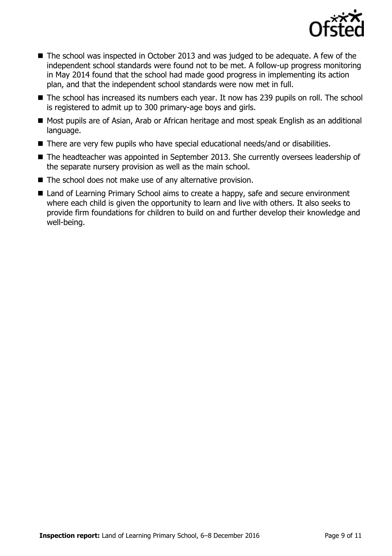

- The school was inspected in October 2013 and was judged to be adequate. A few of the independent school standards were found not to be met. A follow-up progress monitoring in May 2014 found that the school had made good progress in implementing its action plan, and that the independent school standards were now met in full.
- The school has increased its numbers each year. It now has 239 pupils on roll. The school is registered to admit up to 300 primary-age boys and girls.
- Most pupils are of Asian, Arab or African heritage and most speak English as an additional language.
- There are very few pupils who have special educational needs/and or disabilities.
- The headteacher was appointed in September 2013. She currently oversees leadership of the separate nursery provision as well as the main school.
- The school does not make use of any alternative provision.
- Land of Learning Primary School aims to create a happy, safe and secure environment where each child is given the opportunity to learn and live with others. It also seeks to provide firm foundations for children to build on and further develop their knowledge and well-being.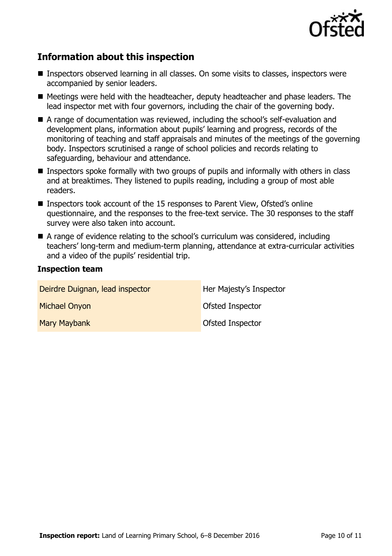

# **Information about this inspection**

- Inspectors observed learning in all classes. On some visits to classes, inspectors were accompanied by senior leaders.
- Meetings were held with the headteacher, deputy headteacher and phase leaders. The lead inspector met with four governors, including the chair of the governing body.
- A range of documentation was reviewed, including the school's self-evaluation and development plans, information about pupils' learning and progress, records of the monitoring of teaching and staff appraisals and minutes of the meetings of the governing body. Inspectors scrutinised a range of school policies and records relating to safeguarding, behaviour and attendance.
- **Inspectors spoke formally with two groups of pupils and informally with others in class** and at breaktimes. They listened to pupils reading, including a group of most able readers.
- Inspectors took account of the 15 responses to Parent View, Ofsted's online questionnaire, and the responses to the free-text service. The 30 responses to the staff survey were also taken into account.
- A range of evidence relating to the school's curriculum was considered, including teachers' long-term and medium-term planning, attendance at extra-curricular activities and a video of the pupils' residential trip.

#### **Inspection team**

| Deirdre Duignan, lead inspector | Her Majesty's Inspector |
|---------------------------------|-------------------------|
| <b>Michael Onyon</b>            | Ofsted Inspector        |
| Mary Maybank                    | Ofsted Inspector        |